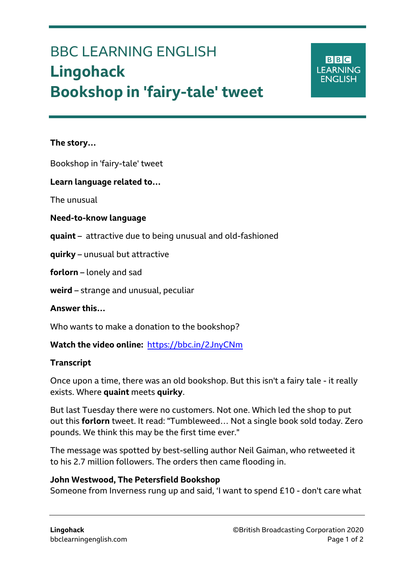# BBC LEARNING ENGLISH **Lingohack Bookshop in 'fairy-tale' tweet**

**BBC LEARNING ENGLISH** 

## **The story…**

Ξ

Bookshop in 'fairy-tale' tweet

## **Learn language related to…**

The unusual

#### **Need-to-know language**

- **quaint** attractive due to being unusual and old-fashioned
- **quirky** unusual but attractive

**forlorn** – lonely and sad

**weird** – strange and unusual, peculiar

**Answer this…**

Who wants to make a donation to the bookshop?

**Watch the video online:** <https://bbc.in/2JnyCNm>

#### **Transcript**

Once upon a time, there was an old bookshop. But this isn't a fairy tale - it really exists. Where **quaint** meets **quirky**.

But last Tuesday there were no customers. Not one. Which led the shop to put out this **forlorn** tweet. It read: "Tumbleweed… Not a single book sold today. Zero pounds. We think this may be the first time ever."

The message was spotted by best-selling author Neil Gaiman, who retweeted it to his 2.7 million followers. The orders then came flooding in.

#### **John Westwood, The Petersfield Bookshop**

Someone from Inverness rung up and said, 'I want to spend £10 - don't care what